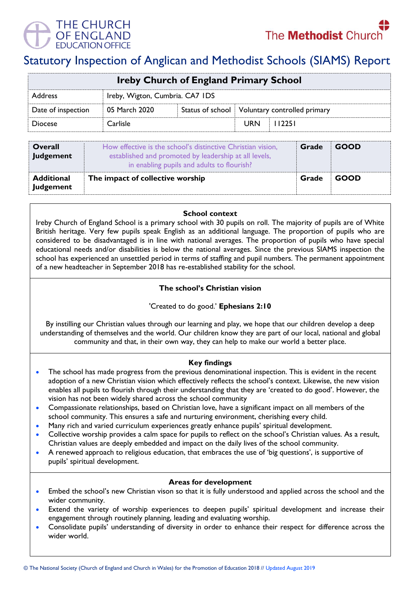



# Statutory Inspection of Anglican and Methodist Schools (SIAMS) Report

| <b>Ireby Church of England Primary School</b> |                                 |  |                                                 |        |  |  |
|-----------------------------------------------|---------------------------------|--|-------------------------------------------------|--------|--|--|
| <b>Address</b>                                | Ireby, Wigton, Cumbria. CA7 IDS |  |                                                 |        |  |  |
| Date of inspection                            | 05 March 2020                   |  | Status of school   Voluntary controlled primary |        |  |  |
| <b>Diocese</b>                                | Carlisle                        |  | <b>URN</b>                                      | 112251 |  |  |

| <b>Overall</b><br>Judgement    | How effective is the school's distinctive Christian vision,<br>established and promoted by leadership at all levels,<br>in enabling pupils and adults to flourish? | Grade | <b>GOOD</b> |
|--------------------------------|--------------------------------------------------------------------------------------------------------------------------------------------------------------------|-------|-------------|
| <b>Additional</b><br>Judgement | The impact of collective worship                                                                                                                                   | Grade | <b>GOOD</b> |

#### **School context**

Ireby Church of England School is a primary school with 30 pupils on roll. The majority of pupils are of White British heritage. Very few pupils speak English as an additional language. The proportion of pupils who are considered to be disadvantaged is in line with national averages. The proportion of pupils who have special educational needs and/or disabilities is below the national averages. Since the previous SIAMS inspection the school has experienced an unsettled period in terms of staffing and pupil numbers. The permanent appointment of a new headteacher in September 2018 has re-established stability for the school.

## **The school's Christian vision**

## 'Created to do good.' **Ephesians 2:10**

By instilling our Christian values through our learning and play, we hope that our children develop a deep understanding of themselves and the world. Our children know they are part of our local, national and global community and that, in their own way, they can help to make our world a better place.

## **Key findings**

- The school has made progress from the previous denominational inspection. This is evident in the recent adoption of a new Christian vision which effectively reflects the school's context. Likewise, the new vision enables all pupils to flourish through their understanding that they are 'created to do good'. However, the vision has not been widely shared across the school community
- Compassionate relationships, based on Christian love, have a significant impact on all members of the school community. This ensures a safe and nurturing environment, cherishing every child.
- Many rich and varied curriculum experiences greatly enhance pupils' spiritual development.
- Collective worship provides a calm space for pupils to reflect on the school's Christian values. As a result, Christian values are deeply embedded and impact on the daily lives of the school community.
- A renewed approach to religious education, that embraces the use of 'big questions', is supportive of pupils' spiritual development.

#### **Areas for development**

- Embed the school's new Christian vison so that it is fully understood and applied across the school and the wider community.
- Extend the variety of worship experiences to deepen pupils' spiritual development and increase their engagement through routinely planning, leading and evaluating worship.
- Consolidate pupils' understanding of diversity in order to enhance their respect for difference across the wider world.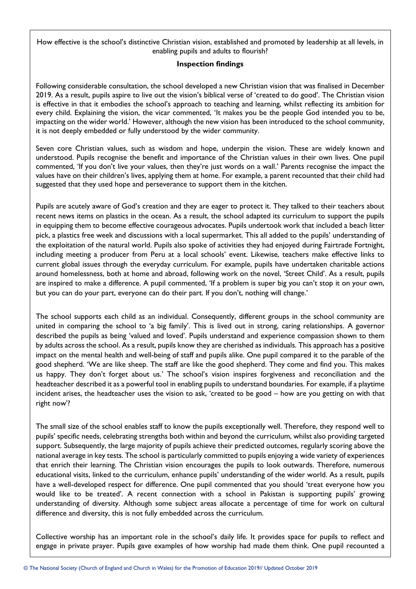How effective is the school's distinctive Christian vision, established and promoted by leadership at all levels, in enabling pupils and adults to flourish?

## **Inspection findings**

Following considerable consultation, the school developed a new Christian vision that was finalised in December 2019. As a result, pupils aspire to live out the vision's biblical verse of 'created to do good'. The Christian vision is effective in that it embodies the school's approach to teaching and learning, whilst reflecting its ambition for every child. Explaining the vision, the vicar commented, 'It makes you be the people God intended you to be, impacting on the wider world.' However, although the new vision has been introduced to the school community, it is not deeply embedded or fully understood by the wider community.

Seven core Christian values, such as wisdom and hope, underpin the vision. These are widely known and understood. Pupils recognise the benefit and importance of the Christian values in their own lives. One pupil commented, 'If you don't live your values, then they're just words on a wall.' Parents recognise the impact the values have on their children's lives, applying them at home. For example, a parent recounted that their child had suggested that they used hope and perseverance to support them in the kitchen.

Pupils are acutely aware of God's creation and they are eager to protect it. They talked to their teachers about recent news items on plastics in the ocean. As a result, the school adapted its curriculum to support the pupils in equipping them to become effective courageous advocates. Pupils undertook work that included a beach litter pick, a plastics free week and discussions with a local supermarket. This all added to the pupils' understanding of the exploitation of the natural world. Pupils also spoke of activities they had enjoyed during Fairtrade Fortnight, including meeting a producer from Peru at a local schools' event. Likewise, teachers make effective links to current global issues through the everyday curriculum. For example, pupils have undertaken charitable actions around homelessness, both at home and abroad, following work on the novel, 'Street Child'. As a result, pupils are inspired to make a difference. A pupil commented, 'If a problem is super big you can't stop it on your own, but you can do your part, everyone can do their part. If you don't, nothing will change.'

The school supports each child as an individual. Consequently, different groups in the school community are united in comparing the school to 'a big family'. This is lived out in strong, caring relationships. A governor described the pupils as being 'valued and loved'. Pupils understand and experience compassion shown to them by adults across the school. As a result, pupils know they are cherished as individuals. This approach has a positive impact on the mental health and well-being of staff and pupils alike. One pupil compared it to the parable of the good shepherd. 'We are like sheep. The staff are like the good shepherd. They come and find you. This makes us happy. They don't forget about us.' The school's vision inspires forgiveness and reconciliation and the headteacher described it as a powerful tool in enabling pupils to understand boundaries. For example, if a playtime incident arises, the headteacher uses the vision to ask, 'created to be good – how are you getting on with that right now'?

The small size of the school enables staff to know the pupils exceptionally well. Therefore, they respond well to pupils' specific needs, celebrating strengths both within and beyond the curriculum, whilst also providing targeted support. Subsequently, the large majority of pupils achieve their predicted outcomes, regularly scoring above the national average in key tests. The school is particularly committed to pupils enjoying a wide variety of experiences that enrich their learning. The Christian vision encourages the pupils to look outwards. Therefore, numerous educational visits, linked to the curriculum, enhance pupils' understanding of the wider world. As a result, pupils have a well-developed respect for difference. One pupil commented that you should 'treat everyone how you would like to be treated'. A recent connection with a school in Pakistan is supporting pupils' growing understanding of diversity. Although some subject areas allocate a percentage of time for work on cultural difference and diversity, this is not fully embedded across the curriculum.

Collective worship has an important role in the school's daily life. It provides space for pupils to reflect and engage in private prayer. Pupils gave examples of how worship had made them think. One pupil recounted a